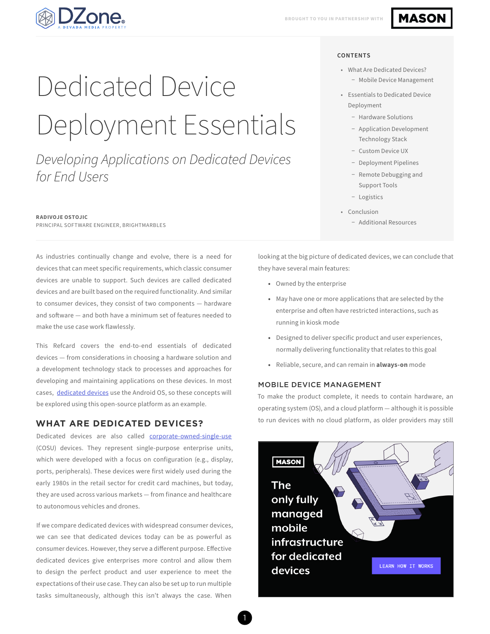

# **MASON**

#### **CONTENTS**

- What Are Dedicated Devices?
	- − Mobile Device Management
- Essentials to Dedicated Device Deployment
	- − Hardware Solutions
	- − Application Development Technology Stack
	- − Custom Device UX
	- − Deployment Pipelines
	- − Remote Debugging and Support Tools
	- − Logistics
- Conclusion
	- − Additional Resources

looking at the big picture of dedicated devices, we can conclude that they have several main features:

- Owned by the enterprise
- May have one or more applications that are selected by the enterprise and often have restricted interactions, such as running in kiosk mode
- Designed to deliver specific product and user experiences, normally delivering functionality that relates to this goal
- Reliable, secure, and can remain in **always-on** mode

#### MOBILE DEVICE MANAGEMENT

To make the product complete, it needs to contain hardware, an operating system (OS), and a cloud platform — although it is possible to run devices with no cloud platform, as older providers may still



Dedicated Device Deployment Essentials

*Developing Applications on Dedicated Devices for End Users*

#### **RADIVOJE OSTOJIC**

PRINCIPAL SOFTWARE ENGINEER, BRIGHTMARBLES

As industries continually change and evolve, there is a need for devices that can meet specific requirements, which classic consumer devices are unable to support. Such devices are called dedicated devices and are built based on the required functionality. And similar to consumer devices, they consist of two components — hardware and software — and both have a minimum set of features needed to make the use case work flawlessly.

This Refcard covers the end-to-end essentials of dedicated devices  — from considerations in choosing a hardware solution and a development technology stack to processes and approaches for developing and maintaining applications on these devices. In most cases, [dedicated devices](https://developer.android.com/work/dpc/dedicated-devices) use the Android OS, so these concepts will be explored using this open-source platform as an example.

### **WHAT ARE DEDICATED DEVICES?**

Dedicated devices are also called [corporate-owned-single-use](https://deviq.io/resources/articles/what-is-cosu/)  (COSU) devices. They represent single-purpose enterprise units, which were developed with a focus on configuration (e.g., display, ports, peripherals). These devices were first widely used during the early 1980s in the retail sector for credit card machines, but today, they are used across various markets — from finance and healthcare to autonomous vehicles and drones.

If we compare dedicated devices with widespread consumer devices, we can see that dedicated devices today can be as powerful as consumer devices. However, they serve a different purpose. Effective dedicated devices give enterprises more control and allow them to design the perfect product and user experience to meet the expectations of their use case. They can also be set up to run multiple tasks simultaneously, although this isn't always the case. When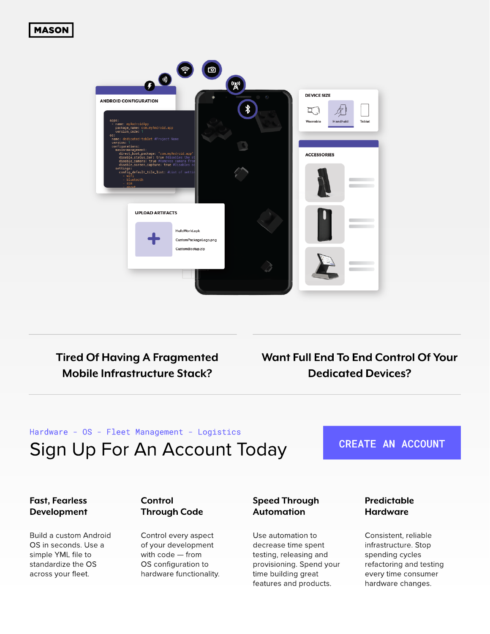# **MASON**



**Tired Of Having A Fragmented Mobile Infrastructure Stack?** 

Want Full End To End Control Of Your **Dedicated Devices?** 

# Hardware - OS - Fleet Management - Logistics Sign Up For An Account Today

# **CREATE AN ACCOUNT**

### **Fast, Fearless** Development

Build a custom Android OS in seconds. Use a simple YML file to standardize the OS across your fleet.

### Control **Through Code**

Control every aspect of your development with code - from OS configuration to hardware functionality.

# **Speed Through Automation**

Use automation to decrease time spent testing, releasing and provisioning. Spend your time building great features and products.

### Predictable **Hardware**

Consistent, reliable infrastructure. Stop spending cycles refactoring and testing every time consumer hardware changes.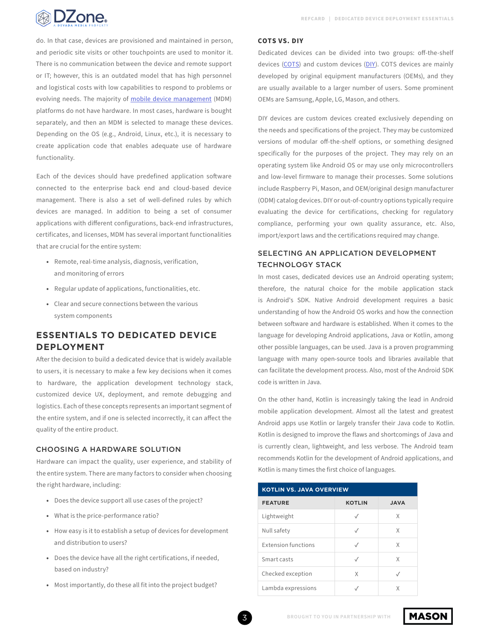

do. In that case, devices are provisioned and maintained in person, and periodic site visits or other touchpoints are used to monitor it. There is no communication between the device and remote support or IT; however, this is an outdated model that has high personnel and logistical costs with low capabilities to respond to problems or evolving needs. The majority of [mobile device management](https://en.wikipedia.org/wiki/Mobile_device_management) (MDM) platforms do not have hardware. In most cases, hardware is bought separately, and then an MDM is selected to manage these devices. Depending on the OS (e.g., Android, Linux, etc.), it is necessary to create application code that enables adequate use of hardware functionality.

Each of the devices should have predefined application software connected to the enterprise back end and cloud-based device management. There is also a set of well-defined rules by which devices are managed. In addition to being a set of consumer applications with different configurations, back-end infrastructures, certificates, and licenses, MDM has several important functionalities that are crucial for the entire system:

- Remote, real-time analysis, diagnosis, verification, and monitoring of errors
- Regular update of applications, functionalities, etc.
- Clear and secure connections between the various system components

# **ESSENTIALS TO DEDICATED DEVICE DEPLOYMENT**

After the decision to build a dedicated device that is widely available to users, it is necessary to make a few key decisions when it comes to hardware, the application development technology stack, customized device UX, deployment, and remote debugging and logistics. Each of these concepts represents an important segment of the entire system, and if one is selected incorrectly, it can affect the quality of the entire product.

### CHOOSING A HARDWARE SOLUTION

Hardware can impact the quality, user experience, and stability of the entire system. There are many factors to consider when choosing the right hardware, including:

- Does the device support all use cases of the project?
- What is the price-performance ratio?
- How easy is it to establish a setup of devices for development and distribution to users?
- Does the device have all the right certifications, if needed, based on industry?
- Most importantly, do these all fit into the project budget?

#### **COTS VS. DIY**

Dedicated devices can be divided into two groups: off-the-shelf devices ([COTS\)](https://csrc.nist.gov/glossary/term/commercial_off_the_shelf) and custom devices [\(DIY](https://csrc.nist.gov/glossary/term/commercial_off_the_shelf)). COTS devices are mainly developed by original equipment manufacturers (OEMs), and they are usually available to a larger number of users. Some prominent OEMs are Samsung, Apple, LG, Mason, and others.

DIY devices are custom devices created exclusively depending on the needs and specifications of the project. They may be customized versions of modular off-the-shelf options, or something designed specifically for the purposes of the project. They may rely on an operating system like Android OS or may use only microcontrollers and low-level firmware to manage their processes. Some solutions include Raspberry Pi, Mason, and OEM/original design manufacturer (ODM) catalog devices. DIY or out-of-country options typically require evaluating the device for certifications, checking for regulatory compliance, performing your own quality assurance, etc. Also, import/export laws and the certifications required may change.

# SELECTING AN APPLICATION DEVELOPMENT TECHNOLOGY STACK

In most cases, dedicated devices use an Android operating system; therefore, the natural choice for the mobile application stack is Android's SDK. Native Android development requires a basic understanding of how the Android OS works and how the connection between software and hardware is established. When it comes to the language for developing Android applications, Java or Kotlin, among other possible languages, can be used. Java is a proven programming language with many open-source tools and libraries available that can facilitate the development process. Also, most of the Android SDK code is written in Java.

On the other hand, Kotlin is increasingly taking the lead in Android mobile application development. Almost all the latest and greatest Android apps use Kotlin or largely transfer their Java code to Kotlin. Kotlin is designed to improve the flaws and shortcomings of Java and is currently clean, lightweight, and less verbose. The Android team recommends Kotlin for the development of Android applications, and Kotlin is many times the first choice of languages.

| <b>KOTLIN VS. JAVA OVERVIEW</b> |               |             |
|---------------------------------|---------------|-------------|
| <b>FEATURE</b>                  | <b>KOTLIN</b> | <b>AVAL</b> |
| Lightweight                     |               | X           |
| Null safety                     | $\sqrt{}$     | X           |
| Extension functions             |               | X           |
| Smart casts                     |               | X           |
| Checked exception               | X             |             |
| Lambda expressions              |               | X           |

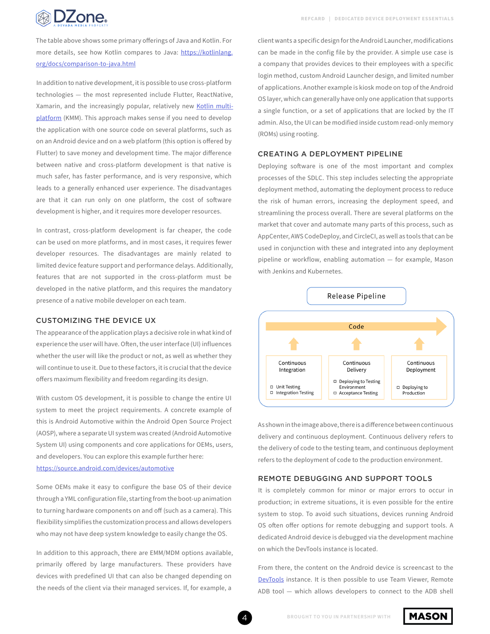

The table above shows some primary offerings of Java and Kotlin. For more details, see how Kotlin compares to Java: [https://kotlinlang.](https://kotlinlang.org/docs/comparison-to-java.html) [org/docs/comparison-to-java.html](https://kotlinlang.org/docs/comparison-to-java.html)

In addition to native development, it is possible to use cross-platform technologies — the most represented include Flutter, ReactNative, Xamarin, and the increasingly popular, relatively new [Kotlin multi](https://kotlinlang.org/docs/mobile/home.html)[platform](https://kotlinlang.org/docs/mobile/home.html) (KMM). This approach makes sense if you need to develop the application with one source code on several platforms, such as on an Android device and on a web platform (this option is offered by Flutter) to save money and development time. The major difference between native and cross-platform development is that native is much safer, has faster performance, and is very responsive, which leads to a generally enhanced user experience. The disadvantages are that it can run only on one platform, the cost of software development is higher, and it requires more developer resources.

In contrast, cross-platform development is far cheaper, the code can be used on more platforms, and in most cases, it requires fewer developer resources. The disadvantages are mainly related to limited device feature support and performance delays. Additionally, features that are not supported in the cross-platform must be developed in the native platform, and this requires the mandatory presence of a native mobile developer on each team.

### CUSTOMIZING THE DEVICE UX

The appearance of the application plays a decisive role in what kind of experience the user will have. Often, the user interface (UI) influences whether the user will like the product or not, as well as whether they will continue to use it. Due to these factors, it is crucial that the device offers maximum flexibility and freedom regarding its design.

With custom OS development, it is possible to change the entire UI system to meet the project requirements. A concrete example of this is Android Automotive within the Android Open Source Project (AOSP), where a separate UI system was created (Android Automotive System UI) using components and core applications for OEMs, users, and developers. You can explore this example further here: <https://source.android.com/devices/automotive>

Some OEMs make it easy to configure the base OS of their device through a YML configuration file, starting from the boot-up animation to turning hardware components on and off (such as a camera). This flexibility simplifies the customization process and allows developers who may not have deep system knowledge to easily change the OS.

In addition to this approach, there are EMM/MDM options available, primarily offered by large manufacturers. These providers have devices with predefined UI that can also be changed depending on the needs of the client via their managed services. If, for example, a

client wants a specific design for the Android Launcher, modifications can be made in the config file by the provider. A simple use case is a company that provides devices to their employees with a specific login method, custom Android Launcher design, and limited number of applications. Another example is kiosk mode on top of the Android OS layer, which can generally have only one application that supports a single function, or a set of applications that are locked by the IT admin. Also, the UI can be modified inside custom read-only memory (ROMs) using rooting.

#### CREATING A DEPLOYMENT PIPELINE

Deploying software is one of the most important and complex processes of the SDLC. This step includes selecting the appropriate deployment method, automating the deployment process to reduce the risk of human errors, increasing the deployment speed, and streamlining the process overall. There are several platforms on the market that cover and automate many parts of this process, such as AppCenter, AWS CodeDeploy, and CircleCI, as well as tools that can be used in conjunction with these and integrated into any deployment pipeline or workflow, enabling automation — for example, Mason with Jenkins and Kubernetes.



As shown in the image above, there is a difference between continuous delivery and continuous deployment. Continuous delivery refers to the delivery of code to the testing team, and continuous deployment refers to the deployment of code to the production environment.

#### REMOTE DEBUGGING AND SUPPORT TOOLS

It is completely common for minor or major errors to occur in production; in extreme situations, it is even possible for the entire system to stop. To avoid such situations, devices running Android OS often offer options for remote debugging and support tools. A dedicated Android device is debugged via the development machine on which the DevTools instance is located.

From there, the content on the Android device is screencast to the [DevTools](https://developer.chrome.com/docs/devtools/remote-debugging/) instance. It is then possible to use Team Viewer, Remote ADB tool — which allows developers to connect to the ADB shell